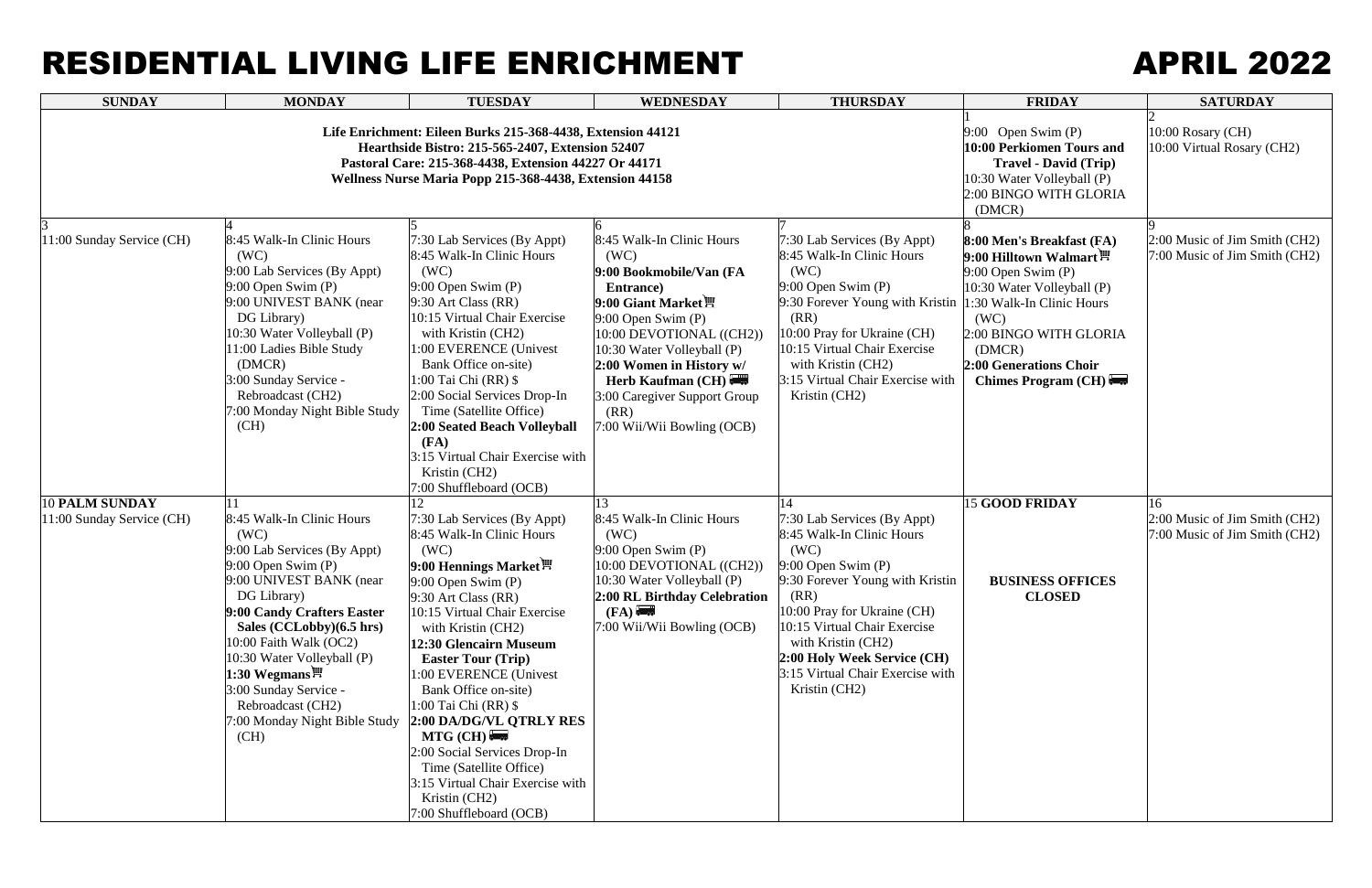## RESIDENTIAL LIVING LIFE ENRICHMENT APRIL 2022

| <b>SUNDAY</b>                                      | <b>MONDAY</b>                                                                                                                                                                                                                                                                                                                                                              | <b>TUESDAY</b>                                                                                                                                                                                                                                                                                                                                                                                                                                                                                                                             | <b>WEDNESDAY</b>                                                                                                                                                                                                                                                                                            | <b>THURSDAY</b>                                                                                                                                                                                                                                                                                              | <b>FRIDAY</b>                                                                                                                                                                                                                                     | <b>SATURDAY</b>                                                      |
|----------------------------------------------------|----------------------------------------------------------------------------------------------------------------------------------------------------------------------------------------------------------------------------------------------------------------------------------------------------------------------------------------------------------------------------|--------------------------------------------------------------------------------------------------------------------------------------------------------------------------------------------------------------------------------------------------------------------------------------------------------------------------------------------------------------------------------------------------------------------------------------------------------------------------------------------------------------------------------------------|-------------------------------------------------------------------------------------------------------------------------------------------------------------------------------------------------------------------------------------------------------------------------------------------------------------|--------------------------------------------------------------------------------------------------------------------------------------------------------------------------------------------------------------------------------------------------------------------------------------------------------------|---------------------------------------------------------------------------------------------------------------------------------------------------------------------------------------------------------------------------------------------------|----------------------------------------------------------------------|
|                                                    | Life Enrichment: Eileen Burks 215-368-4438, Extension 44121<br>Hearthside Bistro: 215-565-2407, Extension 52407<br>Pastoral Care: 215-368-4438, Extension 44227 Or 44171<br>Wellness Nurse Maria Popp 215-368-4438, Extension 44158                                                                                                                                        | 9:00 Open Swim $(P)$<br>10:00 Perkiomen Tours and<br><b>Travel - David (Trip)</b><br>10:30 Water Volleyball (P)<br>2:00 BINGO WITH GLORIA<br>(DMCR)                                                                                                                                                                                                                                                                                                                                                                                        | 10:00 Rosary (CH)<br>10:00 Virtual Rosary (CH2)                                                                                                                                                                                                                                                             |                                                                                                                                                                                                                                                                                                              |                                                                                                                                                                                                                                                   |                                                                      |
| 11:00 Sunday Service (CH)                          | 8:45 Walk-In Clinic Hours<br>(WC)<br>9:00 Lab Services (By Appt)<br>$9:00$ Open Swim $(P)$<br>9:00 UNIVEST BANK (near<br>DG Library)<br>10:30 Water Volleyball (P)<br>11:00 Ladies Bible Study<br>(DMCR)<br>3:00 Sunday Service -<br>Rebroadcast (CH2)<br>7:00 Monday Night Bible Study<br>(CH)                                                                            | 7:30 Lab Services (By Appt)<br>8:45 Walk-In Clinic Hours<br>(WC)<br>$9:00$ Open Swim $(P)$<br>$9:30$ Art Class (RR)<br>10:15 Virtual Chair Exercise<br>with Kristin (CH2)<br>1:00 EVERENCE (Univest<br>Bank Office on-site)<br>1:00 Tai Chi (RR) \$<br>2:00 Social Services Drop-In<br>Time (Satellite Office)<br>2:00 Seated Beach Volleyball<br>(FA)<br>3:15 Virtual Chair Exercise with<br>Kristin (CH2)<br>7:00 Shuffleboard (OCB)                                                                                                     | 8:45 Walk-In Clinic Hours<br>(WC)<br>9:00 Bookmobile/Van (FA<br>Entrance)<br>9:00 Giant Market !<br>$9:00$ Open Swim $(P)$<br>10:00 DEVOTIONAL ((CH2))<br>10:30 Water Volleyball (P)<br>2:00 Women in History w/<br>Herb Kaufman (CH)<br>3:00 Caregiver Support Group<br>(RR)<br>7:00 Wii/Wii Bowling (OCB) | 7:30 Lab Services (By Appt)<br>8:45 Walk-In Clinic Hours<br>(WC)<br>$9:00$ Open Swim $(P)$<br>9:30 Forever Young with Kristin<br>(RR)<br>10:00 Pray for Ukraine (CH)<br>10:15 Virtual Chair Exercise<br>with Kristin (CH2)<br>3:15 Virtual Chair Exercise with<br>Kristin (CH2)                              | 8:00 Men's Breakfast (FA)<br>9:00 Hilltown Walmart <sup>凹</sup><br>$9:00$ Open Swim $(P)$<br>10:30 Water Volleyball (P)<br>1:30 Walk-In Clinic Hours<br>(WC)<br>2:00 BINGO WITH GLORIA<br>(DMCR)<br>2:00 Generations Choir<br>Chimes Program (CH) | 2:00 Music of Jim Smith (CH2)<br>7:00 Music of Jim Smith (CH2)       |
| <b>10 PALM SUNDAY</b><br>11:00 Sunday Service (CH) | 8:45 Walk-In Clinic Hours<br>(WC)<br>9:00 Lab Services (By Appt)<br>$9:00$ Open Swim $(P)$<br>9:00 UNIVEST BANK (near<br>DG Library)<br>9:00 Candy Crafters Easter<br>Sales (CCLobby)(6.5 hrs)<br>10:00 Faith Walk (OC2)<br>10:30 Water Volleyball (P)<br>1:30 Wegmans $\mathbb{H}$<br>3:00 Sunday Service -<br>Rebroadcast (CH2)<br>7:00 Monday Night Bible Study<br>(CH) | 7:30 Lab Services (By Appt)<br>8:45 Walk-In Clinic Hours<br>(WC)<br>9:00 Hennings Market $\mathbb{H}$<br>$9:00$ Open Swim $(P)$<br>$9:30$ Art Class (RR)<br>10:15 Virtual Chair Exercise<br>with Kristin (CH2)<br>12:30 Glencairn Museum<br><b>Easter Tour (Trip)</b><br>1:00 EVERENCE (Univest<br>Bank Office on-site)<br>1:00 Tai Chi (RR) \$<br>2:00 DA/DG/VL OTRLY RES<br>$MTG$ (CH) $\sim$<br>2:00 Social Services Drop-In<br>Time (Satellite Office)<br>3:15 Virtual Chair Exercise with<br>Kristin (CH2)<br>7:00 Shuffleboard (OCB) | 8:45 Walk-In Clinic Hours<br>(WC)<br>$9:00$ Open Swim $(P)$<br>10:00 DEVOTIONAL ((CH2))<br>10:30 Water Volleyball (P)<br>2:00 RL Birthday Celebration<br>(FA)<br>7:00 Wii/Wii Bowling (OCB)                                                                                                                 | 7:30 Lab Services (By Appt)<br>8:45 Walk-In Clinic Hours<br>(WC)<br>$9:00$ Open Swim (P)<br>9:30 Forever Young with Kristin<br>(RR)<br>10:00 Pray for Ukraine (CH)<br>10:15 Virtual Chair Exercise<br>with Kristin (CH2)<br>2:00 Holy Week Service (CH)<br>3:15 Virtual Chair Exercise with<br>Kristin (CH2) | <b>15 GOOD FRIDAY</b><br><b>BUSINESS OFFICES</b><br><b>CLOSED</b>                                                                                                                                                                                 | 16<br>2:00 Music of Jim Smith (CH2)<br>7:00 Music of Jim Smith (CH2) |